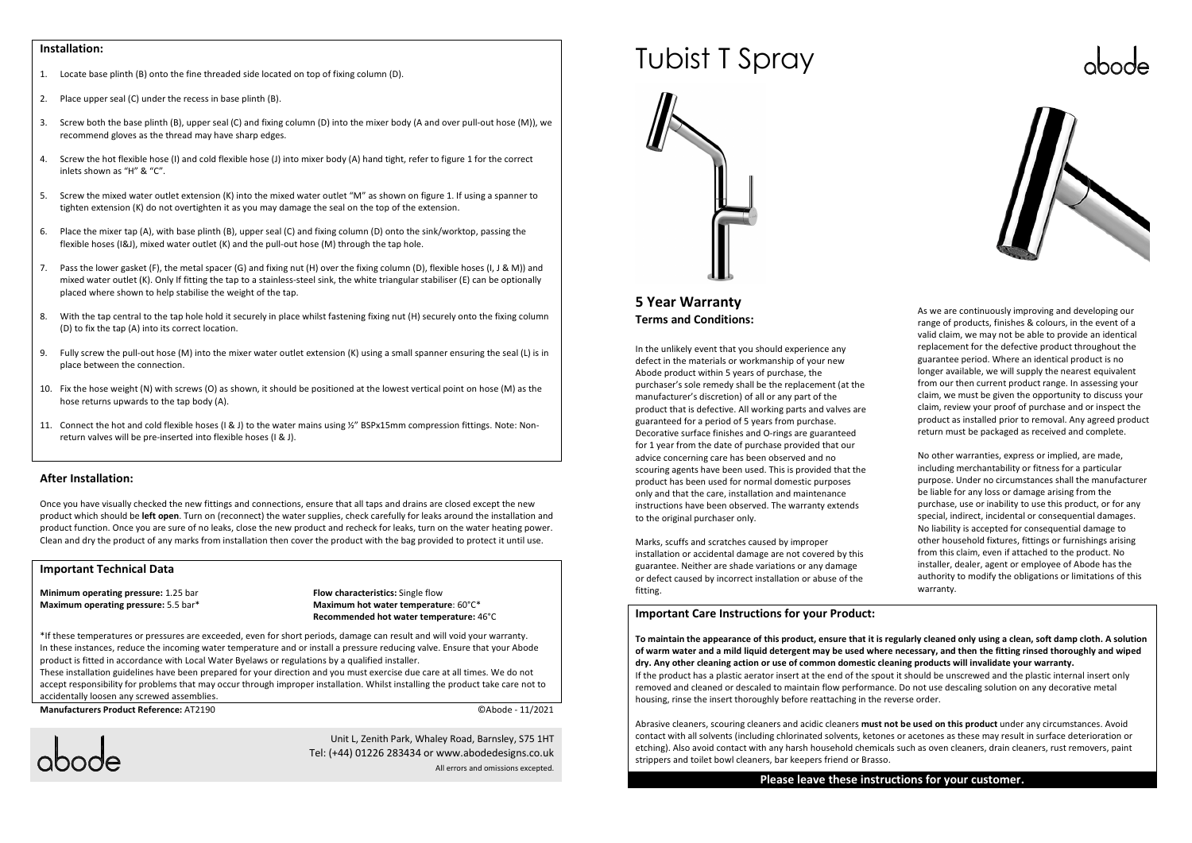#### **Installation:**

- 1. Locate base plinth (B) onto the fine threaded side located on top of fixing column (D).
- 2. Place upper seal (C) under the recess in base plinth (B).
- 3. Screw both the base plinth (B), upper seal (C) and fixing column (D) into the mixer body (A and over pull-out hose (M)), we recommend gloves as the thread may have sharp edges.
- 4. Screw the hot flexible hose (I) and cold flexible hose (J) into mixer body (A) hand tight, refer to figure 1 for the correct inlets shown as "H" & "C".
- 5. Screw the mixed water outlet extension (K) into the mixed water outlet "M" as shown on figure 1. If using a spanner to tighten extension (K) do not overtighten it as you may damage the seal on the top of the extension.
- 6. Place the mixer tap (A), with base plinth (B), upper seal (C) and fixing column (D) onto the sink/worktop, passing the flexible hoses (I&J), mixed water outlet (K) and the pull-out hose (M) through the tap hole.
- 7. Pass the lower gasket (F), the metal spacer (G) and fixing nut (H) over the fixing column (D), flexible hoses (I, J & M)) and mixed water outlet (K). Only If fitting the tap to a stainless-steel sink, the white triangular stabiliser (E) can be optionally placed where shown to help stabilise the weight of the tap.
- 8. With the tap central to the tap hole hold it securely in place whilst fastening fixing nut (H) securely onto the fixing column (D) to fix the tap (A) into its correct location.
- 9. Fully screw the pull-out hose (M) into the mixer water outlet extension (K) using a small spanner ensuring the seal (L) is in place between the connection.
- 10. Fix the hose weight (N) with screws (O) as shown, it should be positioned at the lowest vertical point on hose (M) as the hose returns upwards to the tap body (A).
- 11. Connect the hot and cold flexible hoses (I & J) to the water mains using ½" BSPx15mm compression fittings. Note: Nonreturn valves will be pre-inserted into flexible hoses (I & J).

#### **After Installation:**

Once you have visually checked the new fittings and connections, ensure that all taps and drains are closed except the new product which should be **left open**. Turn on (reconnect) the water supplies, check carefully for leaks around the installation and product function. Once you are sure of no leaks, close the new product and recheck for leaks, turn on the water heating power. Clean and dry the product of any marks from installation then cover the product with the bag provided to protect it until use.

#### **Important Technical Data**

**Minimum operating pressure:** 1.25 bar **Maximum operating pressure:** 5.5 bar\*

#### **Flow characteristics:** Single flow **Maximum hot water temperature**: 60°C\* **Recommended hot water temperature:** 46°C

\*If these temperatures or pressures are exceeded, even for short periods, damage can result and will void your warranty. In these instances, reduce the incoming water temperature and or install a pressure reducing valve. Ensure that your Abode product is fitted in accordance with Local Water Byelaws or regulations by a qualified installer.

 These installation guidelines have been prepared for your direction and you must exercise due care at all times. We do not accept responsibility for problems that may occur through improper installation. Whilst installing the product take care not to accidentally loosen any screwed assemblies.

**Manufacturers Product Reference:** AT2190 ©Abode - 11/2021



Unit L, Zenith Park, Whaley Road, Barnsley, S75 1HTTel: (+44) 01226 283434 or www.abodedesigns.co.uk

All errors and omissions excepted.

# Tubist T Spray



#### **5 Year WarrantyTerms and Conditions:**

In the unlikely event that you should experience any defect in the materials or workmanship of your new Abode product within 5 years of purchase, the purchaser's sole remedy shall be the replacement (at the manufacturer's discretion) of all or any part of the product that is defective. All working parts and valves are guaranteed for a period of 5 years from purchase. Decorative surface finishes and O-rings are guaranteed for 1 year from the date of purchase provided that our advice concerning care has been observed and no scouring agents have been used. This is provided that the product has been used for normal domestic purposes only and that the care, installation and maintenance instructions have been observed. The warranty extends to the original purchaser only.

Marks, scuffs and scratches caused by improper installation or accidental damage are not covered by this guarantee. Neither are shade variations or any damage or defect caused by incorrect installation or abuse of the fitting.

#### **Important Care Instructions for your Product:**

**To maintain the appearance of this product, ensure that it is regularly cleaned only using a clean, soft damp cloth. A solution of warm water and a mild liquid detergent may be used where necessary, and then the fitting rinsed thoroughly and wiped dry. Any other cleaning action or use of common domestic cleaning products will invalidate your warranty.**  If the product has a plastic aerator insert at the end of the spout it should be unscrewed and the plastic internal insert only removed and cleaned or descaled to maintain flow performance. Do not use descaling solution on any decorative metal housing, rinse the insert thoroughly before reattaching in the reverse order.

Abrasive cleaners, scouring cleaners and acidic cleaners **must not be used on this product** under any circumstances. Avoid contact with all solvents (including chlorinated solvents, ketones or acetones as these may result in surface deterioration or etching). Also avoid contact with any harsh household chemicals such as oven cleaners, drain cleaners, rust removers, paint strippers and toilet bowl cleaners, bar keepers friend or Brasso.

**Please leave these instructions for your customer.** 





As we are continuously improving and developing our range of products, finishes & colours, in the event of a valid claim, we may not be able to provide an identical replacement for the defective product throughout the guarantee period. Where an identical product is no longer available, we will supply the nearest equivalent from our then current product range. In assessing your claim, we must be given the opportunity to discuss your claim, review your proof of purchase and or inspect the product as installed prior to removal. Any agreed product return must be packaged as received and complete.

No other warranties, express or implied, are made including merchantability or fitness for a particular purpose. Under no circumstances shall the manufacturer be liable for any loss or damage arising from the purchase, use or inability to use this product, or for any special, indirect, incidental or consequential damages. No liability is accepted for consequential damage to other household fixtures, fittings or furnishings arising from this claim, even if attached to the product. No installer, dealer, agent or employee of Abode has the authority to modify the obligations or limitations of this warranty.